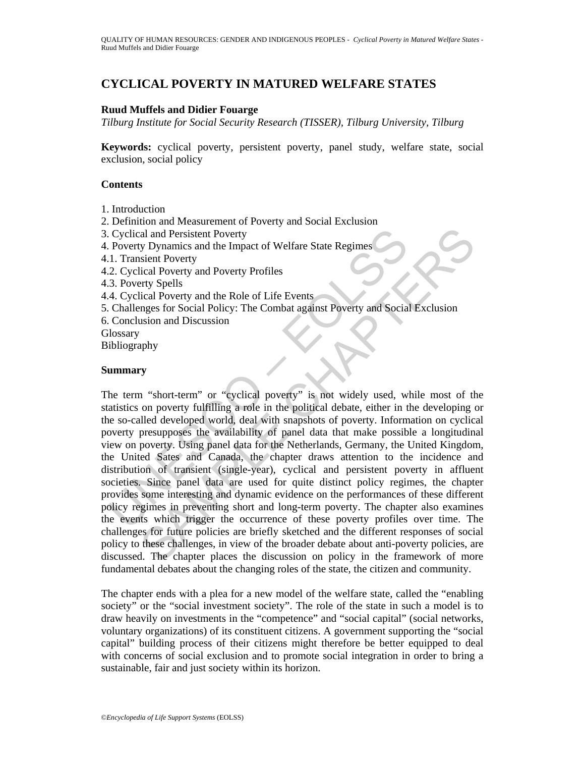# **CYCLICAL POVERTY IN MATURED WELFARE STATES**

### **Ruud Muffels and Didier Fouarge**

*Tilburg Institute for Social Security Research (TISSER), Tilburg University, Tilburg* 

**Keywords:** cyclical poverty, persistent poverty, panel study, welfare state, social exclusion, social policy

### **Contents**

- 1. Introduction
- 2. Definition and Measurement of Poverty and Social Exclusion
- 3. Cyclical and Persistent Poverty
- 4. Poverty Dynamics and the Impact of Welfare State Regimes
- 4.1. Transient Poverty
- 4.2. Cyclical Poverty and Poverty Profiles
- 4.3. Poverty Spells
- 4.4. Cyclical Poverty and the Role of Life Events
- 5. Challenges for Social Policy: The Combat against Poverty and Social Exclusion
- 6. Conclusion and Discussion
- **Glossary**

Bibliography

### **Summary**

Cyclical and Persistent Poverty<br>
Poverty Dynamics and the Impact of Welfare State Regimes<br>
1. Transient Poverty Dynamics and the Impact of Welfare State Regimes<br>
2. Cyclical Poverty and Poverty Profiles<br>
3. Poverty Spells<br> al and Persistent Poverty<br>
y Dynamics and the Impact of Welfare State Regimes<br>
signamics and the Impact of Welfare State Regimes<br>
try Spells<br>
rety Spells<br>
rety Spells<br>
rety Spells<br>
rety Spells<br>
rety Spells<br>
rety and Discus The term "short-term" or "cyclical poverty" is not widely used, while most of the statistics on poverty fulfilling a role in the political debate, either in the developing or the so-called developed world, deal with snapshots of poverty. Information on cyclical poverty presupposes the availability of panel data that make possible a longitudinal view on poverty. Using panel data for the Netherlands, Germany, the United Kingdom, the United Sates and Canada, the chapter draws attention to the incidence and distribution of transient (single-year), cyclical and persistent poverty in affluent societies. Since panel data are used for quite distinct policy regimes, the chapter provides some interesting and dynamic evidence on the performances of these different policy regimes in preventing short and long-term poverty. The chapter also examines the events which trigger the occurrence of these poverty profiles over time. The challenges for future policies are briefly sketched and the different responses of social policy to these challenges, in view of the broader debate about anti-poverty policies, are discussed. The chapter places the discussion on policy in the framework of more fundamental debates about the changing roles of the state, the citizen and community.

The chapter ends with a plea for a new model of the welfare state, called the "enabling society" or the "social investment society". The role of the state in such a model is to draw heavily on investments in the "competence" and "social capital" (social networks, voluntary organizations) of its constituent citizens. A government supporting the "social capital" building process of their citizens might therefore be better equipped to deal with concerns of social exclusion and to promote social integration in order to bring a sustainable, fair and just society within its horizon.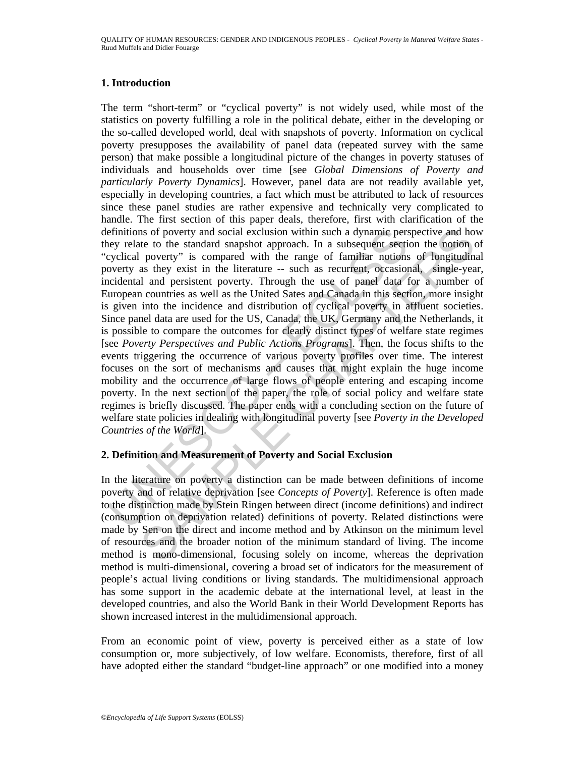### **1. Introduction**

efinitions of poverty and social exclusion within such a dynamic per-<br>ey relate to the standard snapshot approach. In a subsequent seeticy<br>cyclical poverty is compared with the range of familiar notions<br>coverty as they exi as of poverty and social exclusion within such a dynamic perspective and hote to the standed sangledo approach. In a subsequent section the notion of notion to poverty" is compared with the range of familitar notions of l The term "short-term" or "cyclical poverty" is not widely used, while most of the statistics on poverty fulfilling a role in the political debate, either in the developing or the so-called developed world, deal with snapshots of poverty. Information on cyclical poverty presupposes the availability of panel data (repeated survey with the same person) that make possible a longitudinal picture of the changes in poverty statuses of individuals and households over time [see *Global Dimensions of Poverty and particularly Poverty Dynamics*]. However, panel data are not readily available yet, especially in developing countries, a fact which must be attributed to lack of resources since these panel studies are rather expensive and technically very complicated to handle. The first section of this paper deals, therefore, first with clarification of the definitions of poverty and social exclusion within such a dynamic perspective and how they relate to the standard snapshot approach. In a subsequent section the notion of "cyclical poverty" is compared with the range of familiar notions of longitudinal poverty as they exist in the literature -- such as recurrent, occasional, single-year, incidental and persistent poverty. Through the use of panel data for a number of European countries as well as the United Sates and Canada in this section, more insight is given into the incidence and distribution of cyclical poverty in affluent societies. Since panel data are used for the US, Canada, the UK, Germany and the Netherlands, it is possible to compare the outcomes for clearly distinct types of welfare state regimes [see *Poverty Perspectives and Public Actions Programs*]. Then, the focus shifts to the events triggering the occurrence of various poverty profiles over time. The interest focuses on the sort of mechanisms and causes that might explain the huge income mobility and the occurrence of large flows of people entering and escaping income poverty. In the next section of the paper, the role of social policy and welfare state regimes is briefly discussed. The paper ends with a concluding section on the future of welfare state policies in dealing with longitudinal poverty [see *Poverty in the Developed Countries of the World*].

# **2. Definition and Measurement of Poverty and Social Exclusion**

In the literature on poverty a distinction can be made between definitions of income poverty and of relative deprivation [see *Concepts of Poverty*]. Reference is often made to the distinction made by Stein Ringen between direct (income definitions) and indirect (consumption or deprivation related) definitions of poverty. Related distinctions were made by Sen on the direct and income method and by Atkinson on the minimum level of resources and the broader notion of the minimum standard of living. The income method is mono-dimensional, focusing solely on income, whereas the deprivation method is multi-dimensional, covering a broad set of indicators for the measurement of people's actual living conditions or living standards. The multidimensional approach has some support in the academic debate at the international level, at least in the developed countries, and also the World Bank in their World Development Reports has shown increased interest in the multidimensional approach.

From an economic point of view, poverty is perceived either as a state of low consumption or, more subjectively, of low welfare. Economists, therefore, first of all have adopted either the standard "budget-line approach" or one modified into a money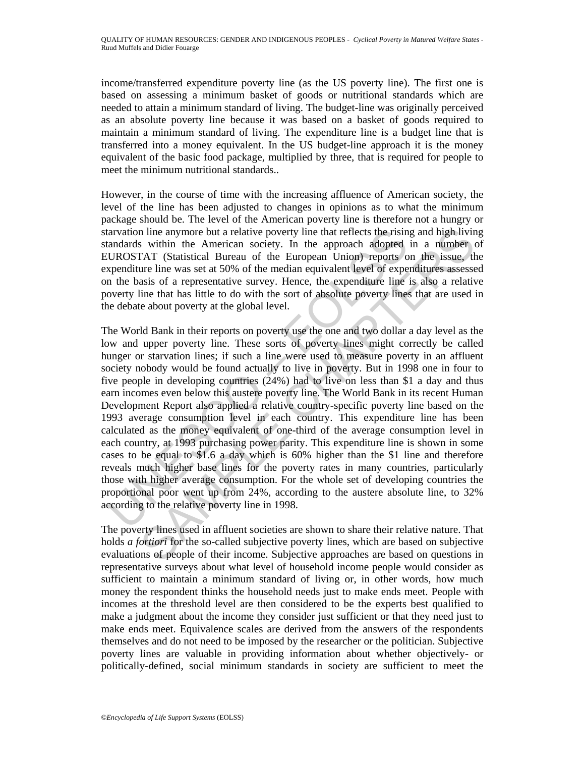income/transferred expenditure poverty line (as the US poverty line). The first one is based on assessing a minimum basket of goods or nutritional standards which are needed to attain a minimum standard of living. The budget-line was originally perceived as an absolute poverty line because it was based on a basket of goods required to maintain a minimum standard of living. The expenditure line is a budget line that is transferred into a money equivalent. In the US budget-line approach it is the money equivalent of the basic food package, multiplied by three, that is required for people to meet the minimum nutritional standards..

However, in the course of time with the increasing affluence of American society, the level of the line has been adjusted to changes in opinions as to what the minimum package should be. The level of the American poverty line is therefore not a hungry or starvation line anymore but a relative poverty line that reflects the rising and high living standards within the American society. In the approach adopted in a number of EUROSTAT (Statistical Bureau of the European Union) reports on the issue, the expenditure line was set at 50% of the median equivalent level of expenditures assessed on the basis of a representative survey. Hence, the expenditure line is also a relative poverty line that has little to do with the sort of absolute poverty lines that are used in the debate about poverty at the global level.

arvation line anymore but a relative poverty line that reflects the risin<br>andards within the American society. In the approach adopted<br>UROSTAT (Statistical Bureau of the European Union) reports of<br>expenditure line was set n line anymore but a relative poverty line that reflects the rising and high livin<br>s within the American society. In the approach adopted in a number<br>of the statistical Bureau of the European Uniom) reports on the issue, t The World Bank in their reports on poverty use the one and two dollar a day level as the low and upper poverty line. These sorts of poverty lines might correctly be called hunger or starvation lines; if such a line were used to measure poverty in an affluent society nobody would be found actually to live in poverty. But in 1998 one in four to five people in developing countries (24%) had to live on less than \$1 a day and thus earn incomes even below this austere poverty line. The World Bank in its recent Human Development Report also applied a relative country-specific poverty line based on the 1993 average consumption level in each country. This expenditure line has been calculated as the money equivalent of one-third of the average consumption level in each country, at 1993 purchasing power parity. This expenditure line is shown in some cases to be equal to \$1.6 a day which is 60% higher than the \$1 line and therefore reveals much higher base lines for the poverty rates in many countries, particularly those with higher average consumption. For the whole set of developing countries the proportional poor went up from 24%, according to the austere absolute line, to 32% according to the relative poverty line in 1998.

The poverty lines used in affluent societies are shown to share their relative nature. That holds *a fortiori* for the so-called subjective poverty lines, which are based on subjective evaluations of people of their income. Subjective approaches are based on questions in representative surveys about what level of household income people would consider as sufficient to maintain a minimum standard of living or, in other words, how much money the respondent thinks the household needs just to make ends meet. People with incomes at the threshold level are then considered to be the experts best qualified to make a judgment about the income they consider just sufficient or that they need just to make ends meet. Equivalence scales are derived from the answers of the respondents themselves and do not need to be imposed by the researcher or the politician. Subjective poverty lines are valuable in providing information about whether objectively- or politically-defined, social minimum standards in society are sufficient to meet the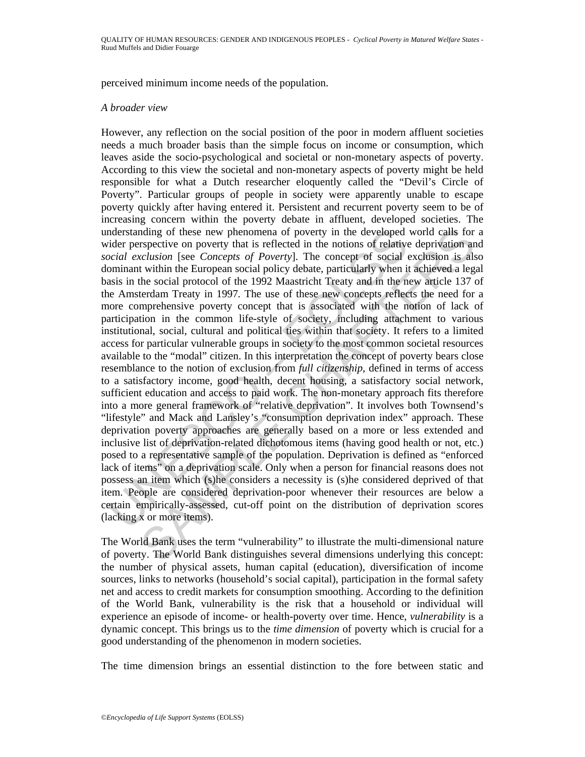perceived minimum income needs of the population.

#### *A broader view*

mderstanding of these new phenomena of poverty in the developed<br>ider perspective on poverty that is reflected in the notions of relative<br>orial exclusion [see *Concepts of Poverty*]. The concept of social<br>orbinant within th maylor of these new phenomena of poverty in the developed world calls for spective on poverty in the coring that is reflected in the notions of relative depirvation and reduction is exclusion is exclusion is also that with However, any reflection on the social position of the poor in modern affluent societies needs a much broader basis than the simple focus on income or consumption, which leaves aside the socio-psychological and societal or non-monetary aspects of poverty. According to this view the societal and non-monetary aspects of poverty might be held responsible for what a Dutch researcher eloquently called the "Devil's Circle of Poverty". Particular groups of people in society were apparently unable to escape poverty quickly after having entered it. Persistent and recurrent poverty seem to be of increasing concern within the poverty debate in affluent, developed societies. The understanding of these new phenomena of poverty in the developed world calls for a wider perspective on poverty that is reflected in the notions of relative deprivation and *social exclusion* [see *Concepts of Poverty*]. The concept of social exclusion is also dominant within the European social policy debate, particularly when it achieved a legal basis in the social protocol of the 1992 Maastricht Treaty and in the new article 137 of the Amsterdam Treaty in 1997*.* The use of these new concepts reflects the need for a more comprehensive poverty concept that is associated with the notion of lack of participation in the common life-style of society, including attachment to various institutional, social, cultural and political ties within that society. It refers to a limited access for particular vulnerable groups in society to the most common societal resources available to the "modal" citizen. In this interpretation the concept of poverty bears close resemblance to the notion of exclusion from *full citizenship*, defined in terms of access to a satisfactory income, good health, decent housing, a satisfactory social network, sufficient education and access to paid work. The non-monetary approach fits therefore into a more general framework of "relative deprivation". It involves both Townsend's "lifestyle" and Mack and Lansley's "consumption deprivation index" approach. These deprivation poverty approaches are generally based on a more or less extended and inclusive list of deprivation-related dichotomous items (having good health or not, etc.) posed to a representative sample of the population. Deprivation is defined as "enforced lack of items" on a deprivation scale. Only when a person for financial reasons does not possess an item which (s)he considers a necessity is (s)he considered deprived of that item. People are considered deprivation-poor whenever their resources are below a certain empirically-assessed, cut-off point on the distribution of deprivation scores (lacking x or more items).

The World Bank uses the term "vulnerability" to illustrate the multi-dimensional nature of poverty. The World Bank distinguishes several dimensions underlying this concept: the number of physical assets, human capital (education), diversification of income sources, links to networks (household's social capital), participation in the formal safety net and access to credit markets for consumption smoothing. According to the definition of the World Bank, vulnerability is the risk that a household or individual will experience an episode of income- or health-poverty over time. Hence, *vulnerability* is a dynamic concept. This brings us to the *time dimension* of poverty which is crucial for a good understanding of the phenomenon in modern societies.

The time dimension brings an essential distinction to the fore between static and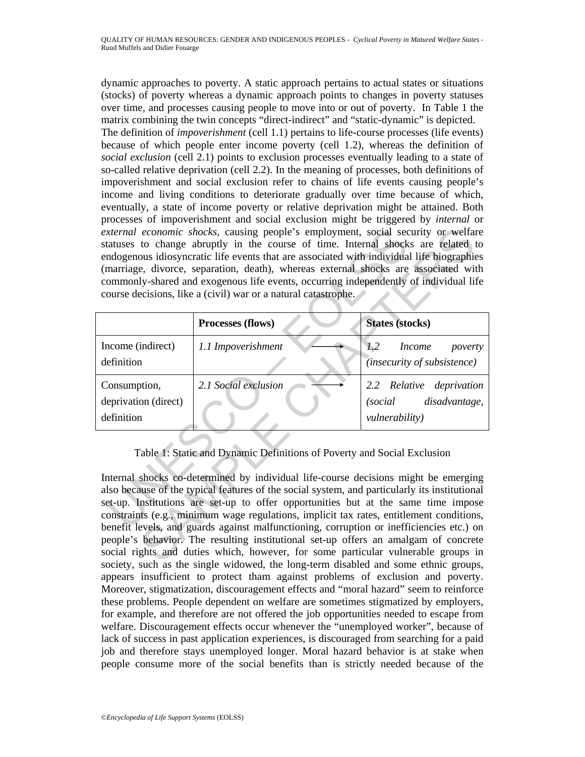dynamic approaches to poverty. A static approach pertains to actual states or situations (stocks) of poverty whereas a dynamic approach points to changes in poverty statuses over time, and processes causing people to move into or out of poverty. In Table 1 the matrix combining the twin concepts "direct-indirect" and "static-dynamic" is depicted.

The definition of *impoverishment* (cell 1.1) pertains to life-course processes (life events) because of which people enter income poverty (cell 1.2), whereas the definition of *social exclusion* (cell 2.1) points to exclusion processes eventually leading to a state of so-called relative deprivation (cell 2.2). In the meaning of processes, both definitions of impoverishment and social exclusion refer to chains of life events causing people's income and living conditions to deteriorate gradually over time because of which, eventually, a state of income poverty or relative deprivation might be attained. Both processes of impoverishment and social exclusion might be triggered by *internal* or *external economic shocks,* causing people's employment, social security or welfare statuses to change abruptly in the course of time. Internal shocks are related to endogenous idiosyncratic life events that are associated with individual life biographies (marriage, divorce, separation, death), whereas external shocks are associated with commonly-shared and exogenous life events, occurring independently of individual life course decisions, like a (civil) war or a natural catastrophe.

| external economic shocks, causing people's employment, social security or welfare<br>statuses to change abruptly in the course of time. Internal shocks are related to<br>endogenous idiosyncratic life events that are associated with individual life biographies<br>(marriage, divorce, separation, death), whereas external shocks are associated with<br>commonly-shared and exogenous life events, occurring independently of individual life<br>course decisions, like a (civil) war or a natural catastrophe. |                      |                                                                |
|-----------------------------------------------------------------------------------------------------------------------------------------------------------------------------------------------------------------------------------------------------------------------------------------------------------------------------------------------------------------------------------------------------------------------------------------------------------------------------------------------------------------------|----------------------|----------------------------------------------------------------|
|                                                                                                                                                                                                                                                                                                                                                                                                                                                                                                                       | Processes (flows)    | <b>States (stocks)</b>                                         |
| Income (indirect)<br>definition                                                                                                                                                                                                                                                                                                                                                                                                                                                                                       | 1.1 Impoverishment   | 1.2<br><i>Income</i><br>poverty<br>(insecurity of subsistence) |
| Consumption,                                                                                                                                                                                                                                                                                                                                                                                                                                                                                                          | 2.1 Social exclusion | 2.2 Relative deprivation                                       |
| deprivation (direct)                                                                                                                                                                                                                                                                                                                                                                                                                                                                                                  |                      | disadvantage,<br><i>(social)</i>                               |
| definition                                                                                                                                                                                                                                                                                                                                                                                                                                                                                                            |                      | vulnerability)                                                 |
| Table 1: Static and Dynamic Definitions of Poverty and Social Exclusion<br>Internal shocks co-determined by individual life-course decisions might be emerging                                                                                                                                                                                                                                                                                                                                                        |                      |                                                                |
| also because of the typical features of the social system, and particularly its institutional                                                                                                                                                                                                                                                                                                                                                                                                                         |                      |                                                                |
| set-up. Institutions are set-up to offer opportunities but at the same time impose<br>constraints (e.g., minimum wage regulations, implicit tax rates, entitlement conditions,                                                                                                                                                                                                                                                                                                                                        |                      |                                                                |
| benefit levels, and guards against malfunctioning, corruption or inefficiencies etc.) on                                                                                                                                                                                                                                                                                                                                                                                                                              |                      |                                                                |
| people's behavior. The resulting institutional set-up offers an amalgam of concrete                                                                                                                                                                                                                                                                                                                                                                                                                                   |                      |                                                                |
| social rights and duties which, however, for some particular vulnerable groups in<br>iatre angle og the single ruiderned, the long-tenne disobled and some ethnic spenne                                                                                                                                                                                                                                                                                                                                              |                      |                                                                |

# Table 1: Static and Dynamic Definitions of Poverty and Social Exclusion

Internal shocks co-determined by individual life-course decisions might be emerging also because of the typical features of the social system, and particularly its institutional set-up. Institutions are set-up to offer opportunities but at the same time impose constraints (e.g., minimum wage regulations, implicit tax rates, entitlement conditions, benefit levels, and guards against malfunctioning, corruption or inefficiencies etc.) on people's behavior. The resulting institutional set-up offers an amalgam of concrete social rights and duties which, however, for some particular vulnerable groups in society, such as the single widowed, the long-term disabled and some ethnic groups, appears insufficient to protect tham against problems of exclusion and poverty. Moreover, stigmatization, discouragement effects and "moral hazard" seem to reinforce these problems. People dependent on welfare are sometimes stigmatized by employers, for example, and therefore are not offered the job opportunities needed to escape from welfare. Discouragement effects occur whenever the "unemployed worker", because of lack of success in past application experiences, is discouraged from searching for a paid job and therefore stays unemployed longer. Moral hazard behavior is at stake when people consume more of the social benefits than is strictly needed because of the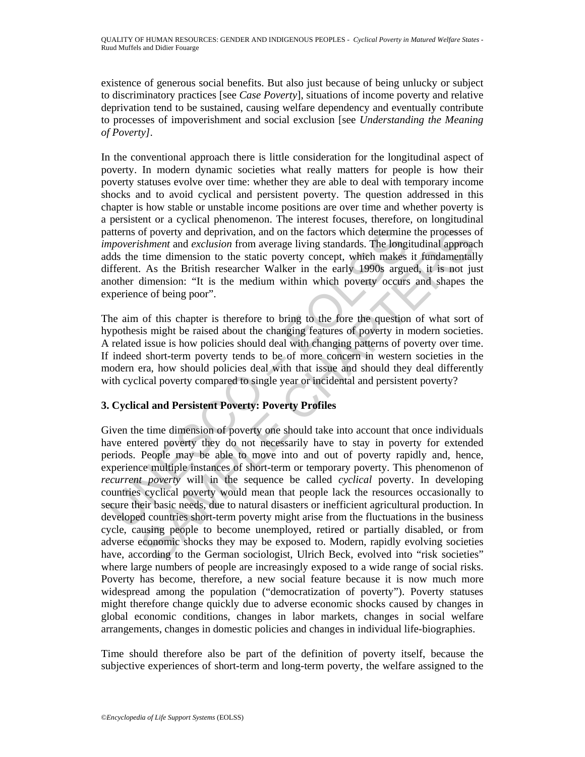existence of generous social benefits. But also just because of being unlucky or subject to discriminatory practices [see *Case Poverty*], situations of income poverty and relative deprivation tend to be sustained, causing welfare dependency and eventually contribute to processes of impoverishment and social exclusion [see *Understanding the Meaning of Poverty]*.

In the conventional approach there is little consideration for the longitudinal aspect of poverty. In modern dynamic societies what really matters for people is how their poverty statuses evolve over time: whether they are able to deal with temporary income shocks and to avoid cyclical and persistent poverty. The question addressed in this chapter is how stable or unstable income positions are over time and whether poverty is a persistent or a cyclical phenomenon. The interest focuses, therefore, on longitudinal patterns of poverty and deprivation, and on the factors which determine the processes of *impoverishment* and *exclusion* from average living standards. The longitudinal approach adds the time dimension to the static poverty concept, which makes it fundamentally different. As the British researcher Walker in the early 1990s argued, it is not just another dimension: "It is the medium within which poverty occurs and shapes the experience of being poor".

The aim of this chapter is therefore to bring to the fore the question of what sort of hypothesis might be raised about the changing features of poverty in modern societies. A related issue is how policies should deal with changing patterns of poverty over time. If indeed short-term poverty tends to be of more concern in western societies in the modern era, how should policies deal with that issue and should they deal differently with cyclical poverty compared to single year or incidental and persistent poverty?

# **3. Cyclical and Persistent Poverty: Poverty Profiles**

atterns of poverty and deprivation, and on the factors which determine<br>metalment and exclusion from average living standards. The longit<br>dds the time dimension to the static poverty concept, which makes<br>dds the time dimens of poverty and deprivation, and on the factors which determine the processes comment and exclusion from average living standards. The longitudinal approach time dimension to the state poverty concept, which makes it funda Given the time dimension of poverty one should take into account that once individuals have entered poverty they do not necessarily have to stay in poverty for extended periods. People may be able to move into and out of poverty rapidly and, hence, experience multiple instances of short-term or temporary poverty. This phenomenon of *recurrent poverty* will in the sequence be called *cyclical* poverty. In developing countries cyclical poverty would mean that people lack the resources occasionally to secure their basic needs, due to natural disasters or inefficient agricultural production. In developed countries short-term poverty might arise from the fluctuations in the business cycle, causing people to become unemployed, retired or partially disabled, or from adverse economic shocks they may be exposed to. Modern, rapidly evolving societies have, according to the German sociologist, Ulrich Beck, evolved into "risk societies" where large numbers of people are increasingly exposed to a wide range of social risks. Poverty has become, therefore, a new social feature because it is now much more widespread among the population ("democratization of poverty"). Poverty statuses might therefore change quickly due to adverse economic shocks caused by changes in global economic conditions, changes in labor markets, changes in social welfare arrangements, changes in domestic policies and changes in individual life-biographies.

Time should therefore also be part of the definition of poverty itself, because the subjective experiences of short-term and long-term poverty, the welfare assigned to the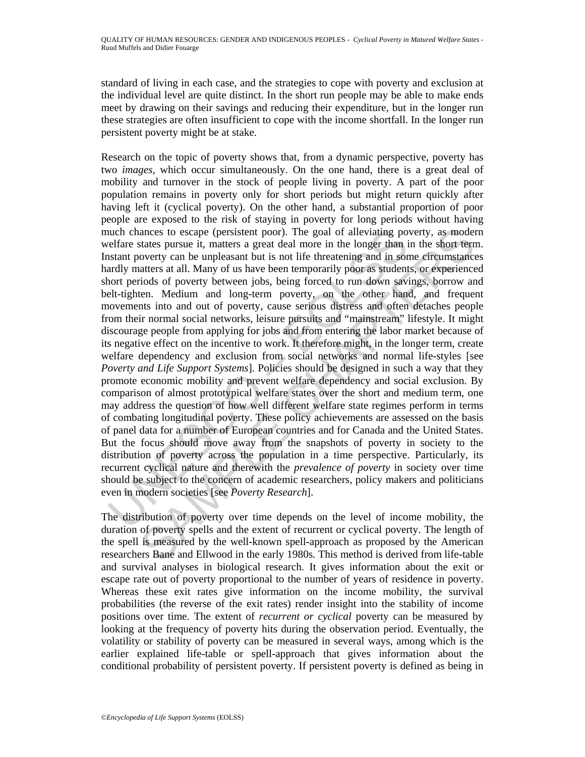standard of living in each case, and the strategies to cope with poverty and exclusion at the individual level are quite distinct. In the short run people may be able to make ends meet by drawing on their savings and reducing their expenditure, but in the longer run these strategies are often insufficient to cope with the income shortfall. In the longer run persistent poverty might be at stake.

uch chances to escape (persistent poor). The goal of alleviating po<br>uch chances to escape (persistent poor). The goal of alleviating and<br>statet potenty can be unpleasant but is not life threatening and in so<br>instant povert ances to escape (persistent poor). The goal of alleviating poverty, as moder<br>atates pursue it, matters a great deal more in the longer than in the short term<br>overty can be unpleasant but is not life threatening and in some Research on the topic of poverty shows that, from a dynamic perspective, poverty has two *images*, which occur simultaneously. On the one hand, there is a great deal of mobility and turnover in the stock of people living in poverty. A part of the poor population remains in poverty only for short periods but might return quickly after having left it (cyclical poverty). On the other hand, a substantial proportion of poor people are exposed to the risk of staying in poverty for long periods without having much chances to escape (persistent poor). The goal of alleviating poverty, as modern welfare states pursue it, matters a great deal more in the longer than in the short term. Instant poverty can be unpleasant but is not life threatening and in some circumstances hardly matters at all. Many of us have been temporarily poor as students, or experienced short periods of poverty between jobs, being forced to run down savings, borrow and belt-tighten. Medium and long-term poverty, on the other hand, and frequent movements into and out of poverty, cause serious distress and often detaches people from their normal social networks, leisure pursuits and "mainstream" lifestyle. It might discourage people from applying for jobs and from entering the labor market because of its negative effect on the incentive to work. It therefore might, in the longer term, create welfare dependency and exclusion from social networks and normal life-styles [see *Poverty and Life Support Systems*]. Policies should be designed in such a way that they promote economic mobility and prevent welfare dependency and social exclusion. By comparison of almost prototypical welfare states over the short and medium term, one may address the question of how well different welfare state regimes perform in terms of combating longitudinal poverty. These policy achievements are assessed on the basis of panel data for a number of European countries and for Canada and the United States. But the focus should move away from the snapshots of poverty in society to the distribution of poverty across the population in a time perspective. Particularly, its recurrent cyclical nature and therewith the *prevalence of poverty* in society over time should be subject to the concern of academic researchers, policy makers and politicians even in modern societies [see *Poverty Research*].

The distribution of poverty over time depends on the level of income mobility, the duration of poverty spells and the extent of recurrent or cyclical poverty. The length of the spell is measured by the well-known spell-approach as proposed by the American researchers Bane and Ellwood in the early 1980s. This method is derived from life-table and survival analyses in biological research. It gives information about the exit or escape rate out of poverty proportional to the number of years of residence in poverty. Whereas these exit rates give information on the income mobility, the survival probabilities (the reverse of the exit rates) render insight into the stability of income positions over time. The extent of *recurrent or cyclical* poverty can be measured by looking at the frequency of poverty hits during the observation period. Eventually, the volatility or stability of poverty can be measured in several ways, among which is the earlier explained life-table or spell-approach that gives information about the conditional probability of persistent poverty. If persistent poverty is defined as being in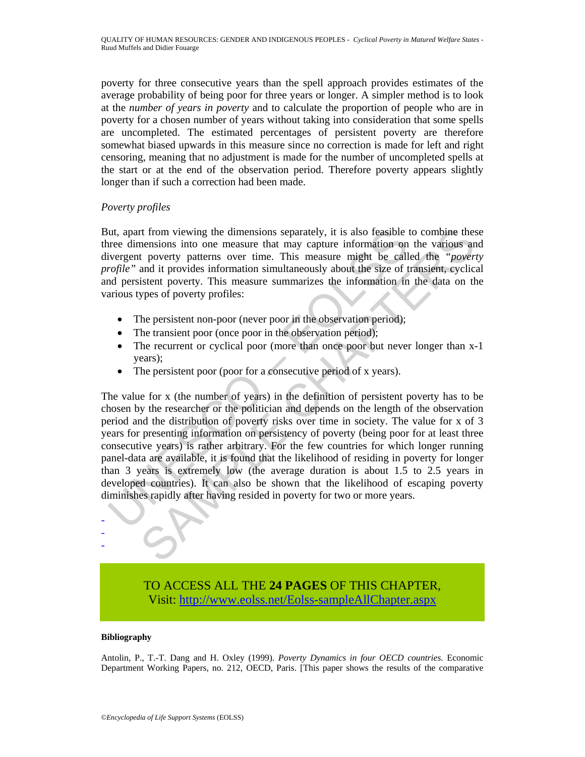poverty for three consecutive years than the spell approach provides estimates of the average probability of being poor for three years or longer. A simpler method is to look at the *number of years in poverty* and to calculate the proportion of people who are in poverty for a chosen number of years without taking into consideration that some spells are uncompleted. The estimated percentages of persistent poverty are therefore somewhat biased upwards in this measure since no correction is made for left and right censoring, meaning that no adjustment is made for the number of uncompleted spells at the start or at the end of the observation period. Therefore poverty appears slightly longer than if such a correction had been made.

### *Poverty profiles*

But, apart from viewing the dimensions separately, it is also feasible to combine these three dimensions into one measure that may capture information on the various and divergent poverty patterns over time. This measure might be called the *"poverty profile"* and it provides information simultaneously about the size of transient, cyclical and persistent poverty. This measure summarizes the information in the data on the various types of poverty profiles:

- The persistent non-poor (never poor in the observation period);
- The transient poor (once poor in the observation period);
- The recurrent or cyclical poor (more than once poor but never longer than x-1) years);
- The persistent poor (poor for a consecutive period of x years).

Interior with the dimensions separately, it is also feasible<br>the dimensions into one measure that may capture information on<br>twergent poverty patterns over time. This measure might be call<br>orgine the vert poverty patterns the moment of the dimensions separately, it is also feasible to combine these mentsions into one measure that may capture information on the various and the poverint power in the various and it provides information simulta The value for x (the number of years) in the definition of persistent poverty has to be chosen by the researcher or the politician and depends on the length of the observation period and the distribution of poverty risks over time in society. The value for x of 3 years for presenting information on persistency of poverty (being poor for at least three consecutive years) is rather arbitrary. For the few countries for which longer running panel-data are available, it is found that the likelihood of residing in poverty for longer than 3 years is extremely low (the average duration is about 1.5 to 2.5 years in developed countries). It can also be shown that the likelihood of escaping poverty diminishes rapidly after having resided in poverty for two or more years.

# TO ACCESS ALL THE **24 PAGES** OF THIS CHAPTER, Visi[t: http://www.eolss.net/Eolss-sampleAllChapter.aspx](https://www.eolss.net/ebooklib/sc_cart.aspx?File=E1-15-01-05)

#### **Bibliography**

- - -

Antolin, P., T.-T. Dang and H. Oxley (1999). *Poverty Dynamics in four OECD countries*. Economic Department Working Papers, no. 212, OECD, Paris. [This paper shows the results of the comparative